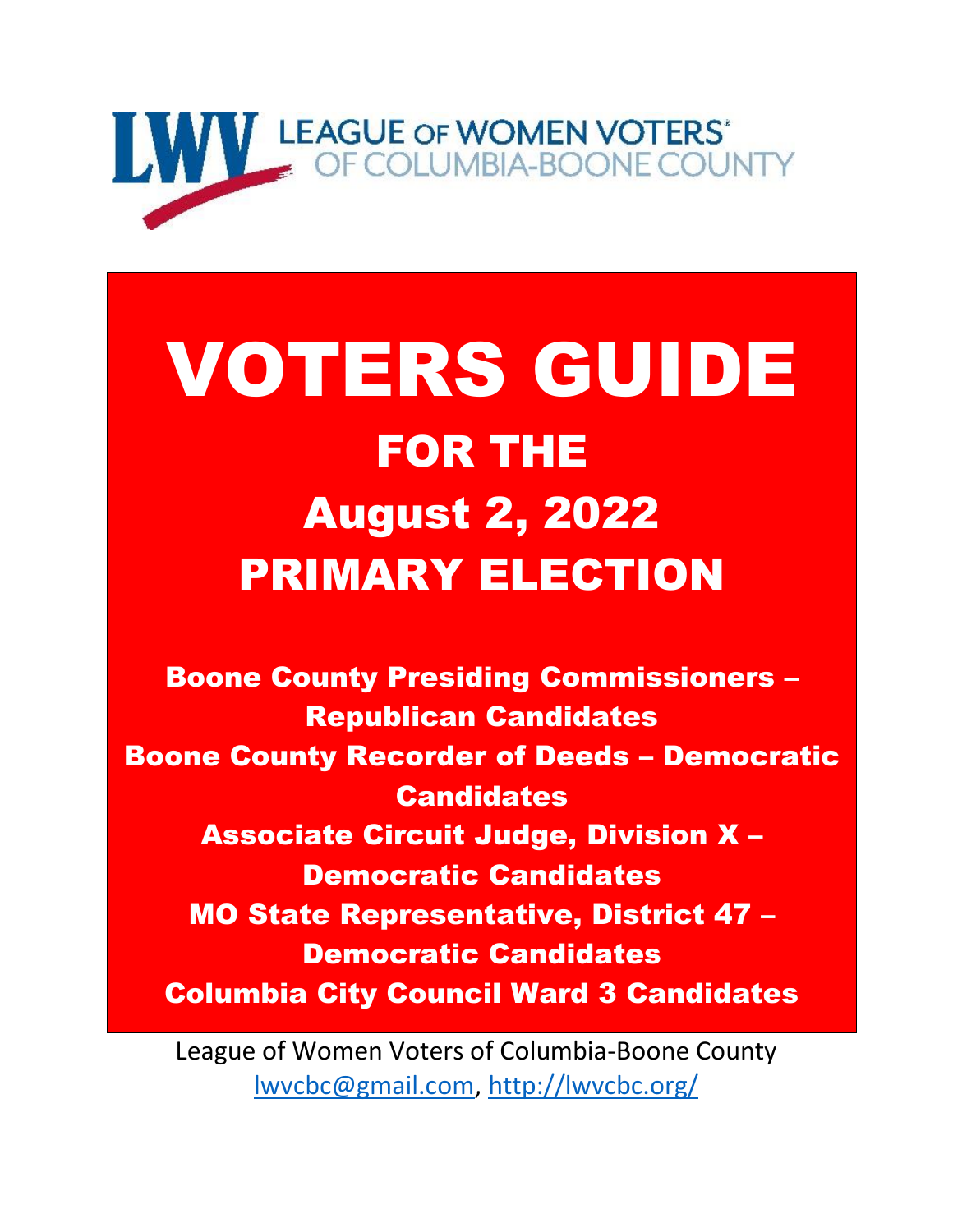

# VOTERS GUIDE FOR THE August 2, 2022 PRIMARY ELECTION

Boone County Presiding Commissioners – Republican Candidates Boone County Recorder of Deeds – Democratic **Candidates** Associate Circuit Judge, Division X – Democratic Candidates MO State Representative, District 47 – Democratic Candidates Columbia City Council Ward 3 Candidates

League of Women Voters of Columbia-Boone County [lwvcbc@gmail.com,](mailto:lwvcbc@gmail.com)<http://lwvcbc.org/>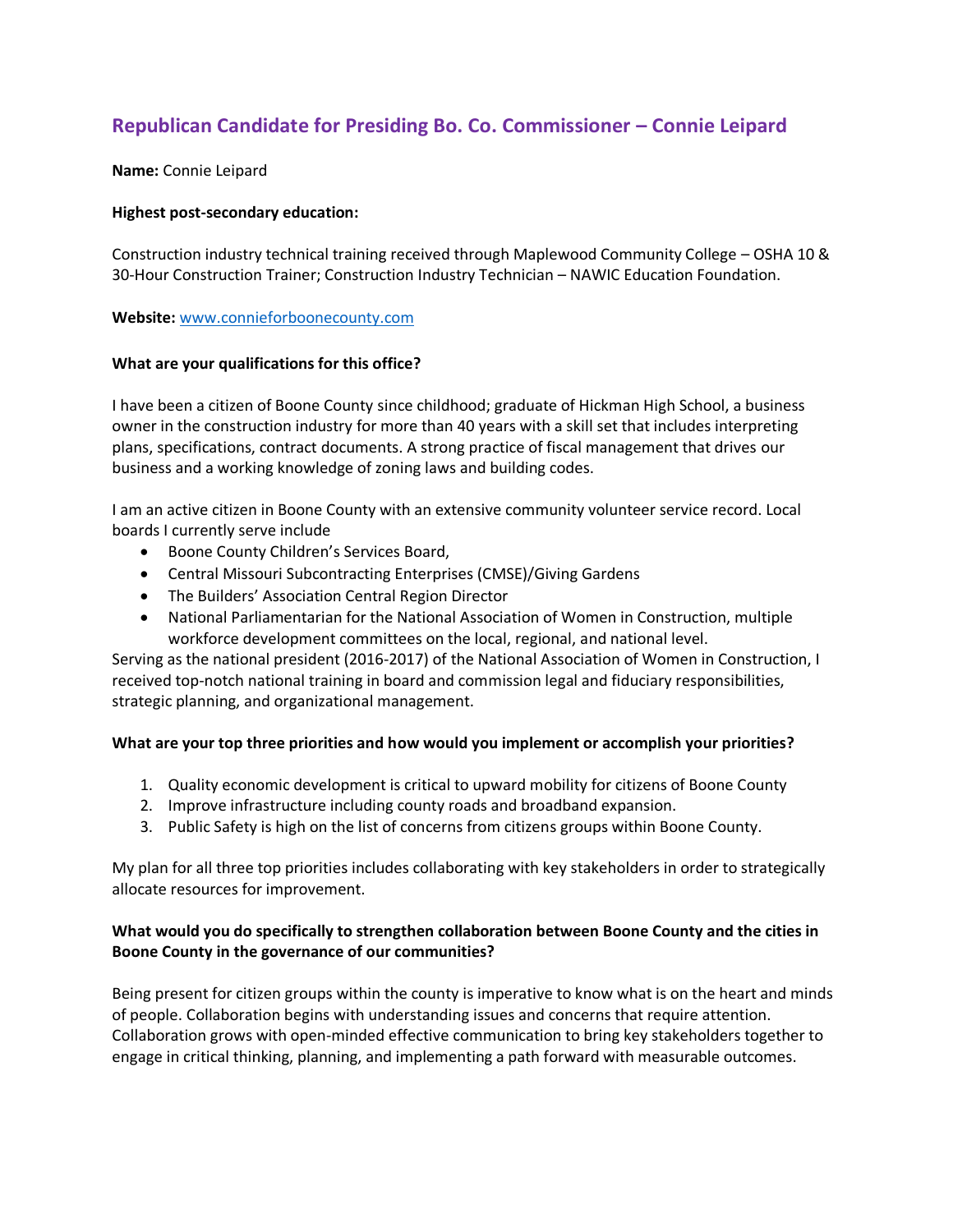# **Republican Candidate for Presiding Bo. Co. Commissioner – Connie Leipard**

**Name:** Connie Leipard

## **Highest post-secondary education:**

Construction industry technical training received through Maplewood Community College – OSHA 10 & 30-Hour Construction Trainer; Construction Industry Technician – NAWIC Education Foundation.

## **Website:** [www.connieforboonecounty.com](http://www.connieforboonecounty.com/)

## **What are your qualifications for this office?**

I have been a citizen of Boone County since childhood; graduate of Hickman High School, a business owner in the construction industry for more than 40 years with a skill set that includes interpreting plans, specifications, contract documents. A strong practice of fiscal management that drives our business and a working knowledge of zoning laws and building codes.

I am an active citizen in Boone County with an extensive community volunteer service record. Local boards I currently serve include

- Boone County Children's Services Board,
- Central Missouri Subcontracting Enterprises (CMSE)/Giving Gardens
- The Builders' Association Central Region Director
- National Parliamentarian for the National Association of Women in Construction, multiple workforce development committees on the local, regional, and national level.

Serving as the national president (2016-2017) of the National Association of Women in Construction, I received top-notch national training in board and commission legal and fiduciary responsibilities, strategic planning, and organizational management.

## **What are your top three priorities and how would you implement or accomplish your priorities?**

- 1. Quality economic development is critical to upward mobility for citizens of Boone County
- 2. Improve infrastructure including county roads and broadband expansion.
- 3. Public Safety is high on the list of concerns from citizens groups within Boone County.

My plan for all three top priorities includes collaborating with key stakeholders in order to strategically allocate resources for improvement.

## **What would you do specifically to strengthen collaboration between Boone County and the cities in Boone County in the governance of our communities?**

Being present for citizen groups within the county is imperative to know what is on the heart and minds of people. Collaboration begins with understanding issues and concerns that require attention. Collaboration grows with open-minded effective communication to bring key stakeholders together to engage in critical thinking, planning, and implementing a path forward with measurable outcomes.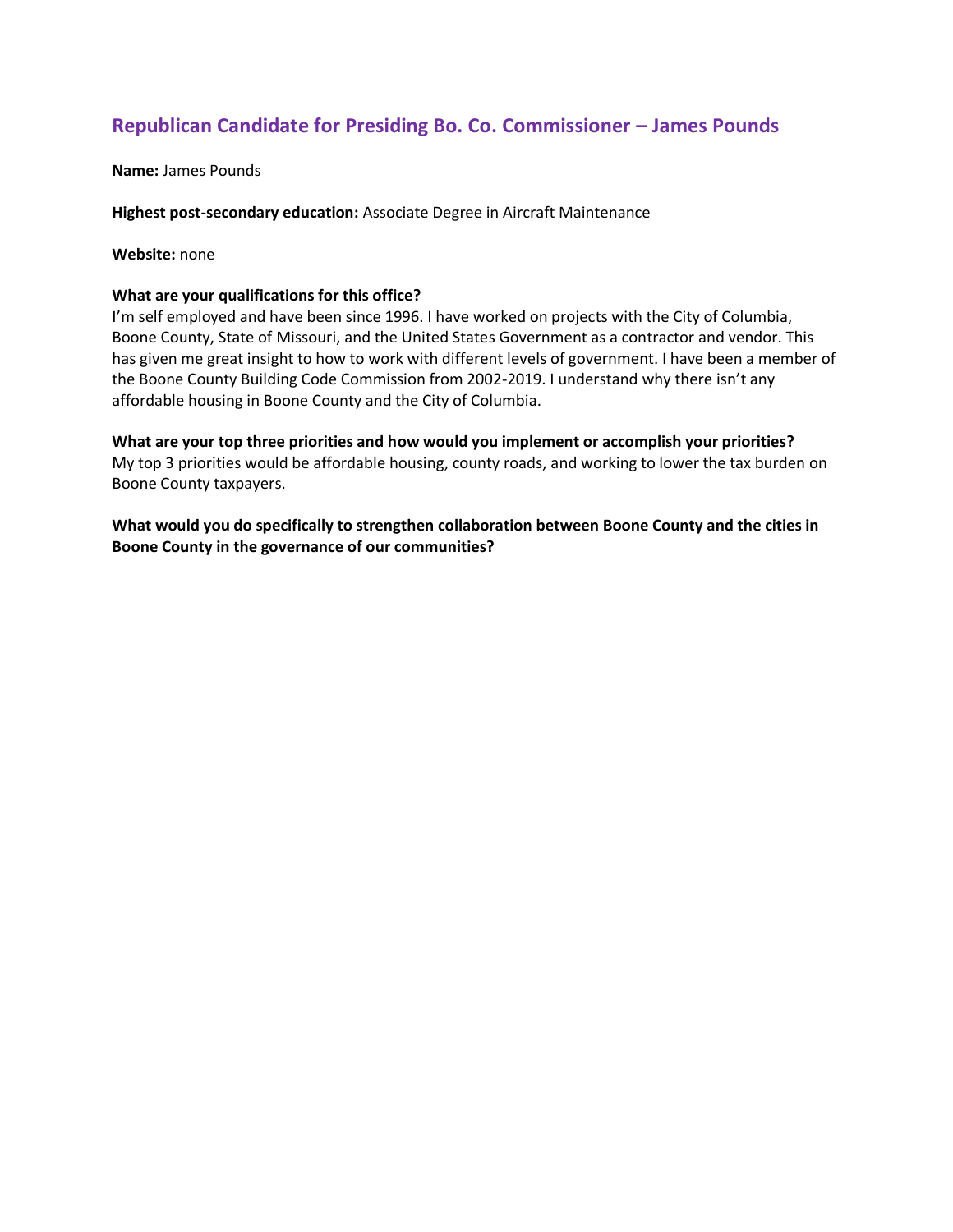## **Republican Candidate for Presiding Bo. Co. Commissioner – James Pounds**

## **Name:** James Pounds

## **Highest post-secondary education:** Associate Degree in Aircraft Maintenance

## **Website:** none

## **What are your qualifications for this office?**

I'm self employed and have been since 1996. I have worked on projects with the City of Columbia, Boone County, State of Missouri, and the United States Government as a contractor and vendor. This has given me great insight to how to work with different levels of government. I have been a member of the Boone County Building Code Commission from 2002-2019. I understand why there isn't any affordable housing in Boone County and the City of Columbia.

**What are your top three priorities and how would you implement or accomplish your priorities?** My top 3 priorities would be affordable housing, county roads, and working to lower the tax burden on Boone County taxpayers.

**What would you do specifically to strengthen collaboration between Boone County and the cities in Boone County in the governance of our communities?**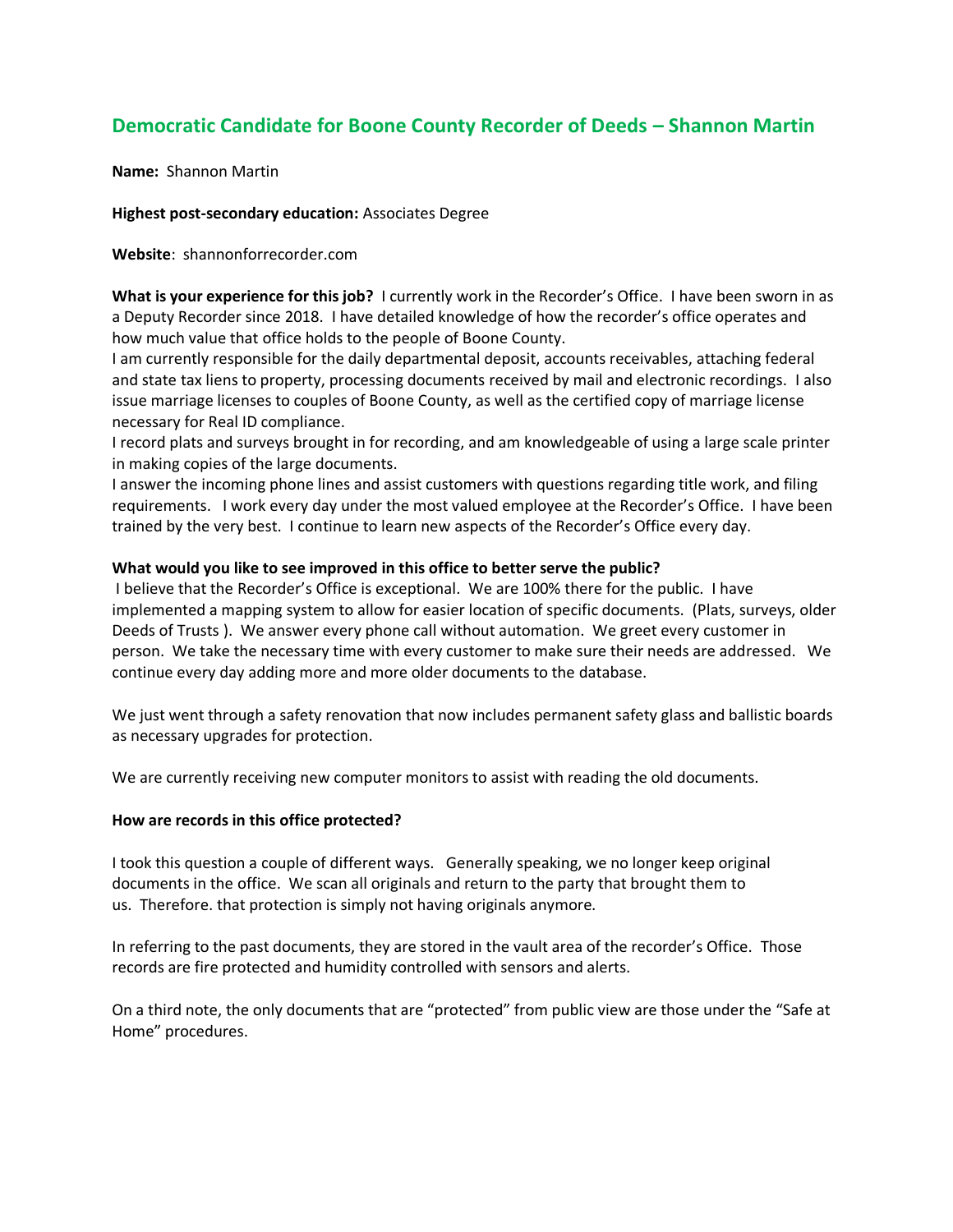# **Democratic Candidate for Boone County Recorder of Deeds – Shannon Martin**

**Name:** Shannon Martin

## **Highest post-secondary education:** Associates Degree

**Website**: shannonforrecorder.com

**What is your experience for this job?** I currently work in the Recorder's Office. I have been sworn in as a Deputy Recorder since 2018. I have detailed knowledge of how the recorder's office operates and how much value that office holds to the people of Boone County.

I am currently responsible for the daily departmental deposit, accounts receivables, attaching federal and state tax liens to property, processing documents received by mail and electronic recordings. I also issue marriage licenses to couples of Boone County, as well as the certified copy of marriage license necessary for Real ID compliance.

I record plats and surveys brought in for recording, and am knowledgeable of using a large scale printer in making copies of the large documents.

I answer the incoming phone lines and assist customers with questions regarding title work, and filing requirements. I work every day under the most valued employee at the Recorder's Office. I have been trained by the very best. I continue to learn new aspects of the Recorder's Office every day.

## **What would you like to see improved in this office to better serve the public?**

I believe that the Recorder's Office is exceptional. We are 100% there for the public. I have implemented a mapping system to allow for easier location of specific documents. (Plats, surveys, older Deeds of Trusts ). We answer every phone call without automation. We greet every customer in person. We take the necessary time with every customer to make sure their needs are addressed. We continue every day adding more and more older documents to the database.

We just went through a safety renovation that now includes permanent safety glass and ballistic boards as necessary upgrades for protection.

We are currently receiving new computer monitors to assist with reading the old documents.

## **How are records in this office protected?**

I took this question a couple of different ways. Generally speaking, we no longer keep original documents in the office. We scan all originals and return to the party that brought them to us. Therefore. that protection is simply not having originals anymore.

In referring to the past documents, they are stored in the vault area of the recorder's Office. Those records are fire protected and humidity controlled with sensors and alerts.

On a third note, the only documents that are "protected" from public view are those under the "Safe at Home" procedures.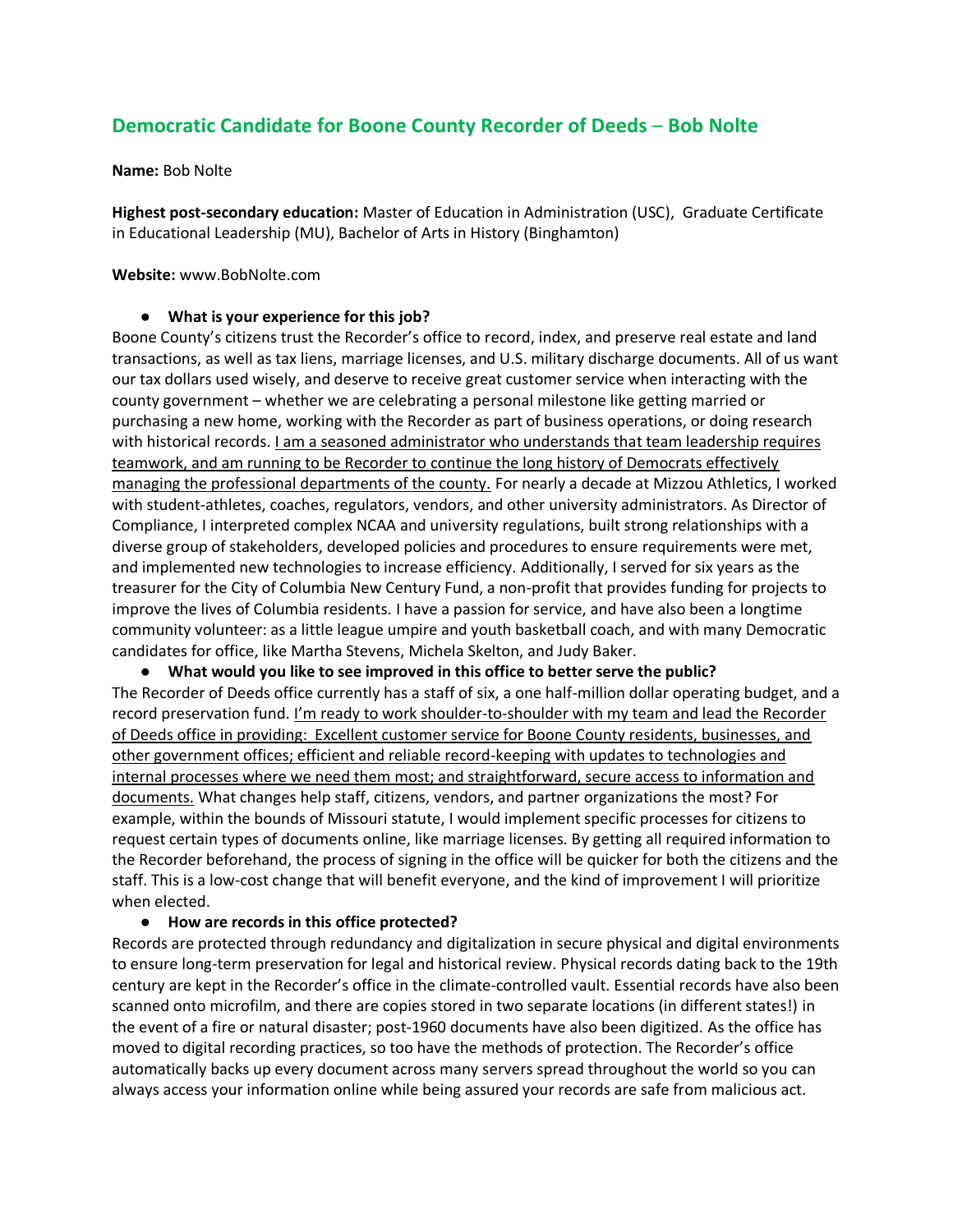## **Democratic Candidate for Boone County Recorder of Deeds** – **Bob Nolte**

#### **Name:** Bob Nolte

**Highest post-secondary education:** Master of Education in Administration (USC), Graduate Certificate in Educational Leadership (MU), Bachelor of Arts in History (Binghamton)

## **Website:** www.BobNolte.com

## ● **What is your experience for this job?**

Boone County's citizens trust the Recorder's office to record, index, and preserve real estate and land transactions, as well as tax liens, marriage licenses, and U.S. military discharge documents. All of us want our tax dollars used wisely, and deserve to receive great customer service when interacting with the county government – whether we are celebrating a personal milestone like getting married or purchasing a new home, working with the Recorder as part of business operations, or doing research with historical records. I am a seasoned administrator who understands that team leadership requires teamwork, and am running to be Recorder to continue the long history of Democrats effectively managing the professional departments of the county. For nearly a decade at Mizzou Athletics, I worked with student-athletes, coaches, regulators, vendors, and other university administrators. As Director of Compliance, I interpreted complex NCAA and university regulations, built strong relationships with a diverse group of stakeholders, developed policies and procedures to ensure requirements were met, and implemented new technologies to increase efficiency. Additionally, I served for six years as the treasurer for the City of Columbia New Century Fund, a non-profit that provides funding for projects to improve the lives of Columbia residents. I have a passion for service, and have also been a longtime community volunteer: as a little league umpire and youth basketball coach, and with many Democratic candidates for office, like Martha Stevens, Michela Skelton, and Judy Baker.

● **What would you like to see improved in this office to better serve the public?** The Recorder of Deeds office currently has a staff of six, a one half-million dollar operating budget, and a record preservation fund. I'm ready to work shoulder-to-shoulder with my team and lead the Recorder of Deeds office in providing: Excellent customer service for Boone County residents, businesses, and other government offices; efficient and reliable record-keeping with updates to technologies and internal processes where we need them most; and straightforward, secure access to information and documents. What changes help staff, citizens, vendors, and partner organizations the most? For example, within the bounds of Missouri statute, I would implement specific processes for citizens to request certain types of documents online, like marriage licenses. By getting all required information to the Recorder beforehand, the process of signing in the office will be quicker for both the citizens and the staff. This is a low-cost change that will benefit everyone, and the kind of improvement I will prioritize when elected.

## ● **How are records in this office protected?**

Records are protected through redundancy and digitalization in secure physical and digital environments to ensure long-term preservation for legal and historical review. Physical records dating back to the 19th century are kept in the Recorder's office in the climate-controlled vault. Essential records have also been scanned onto microfilm, and there are copies stored in two separate locations (in different states!) in the event of a fire or natural disaster; post-1960 documents have also been digitized. As the office has moved to digital recording practices, so too have the methods of protection. The Recorder's office automatically backs up every document across many servers spread throughout the world so you can always access your information online while being assured your records are safe from malicious act.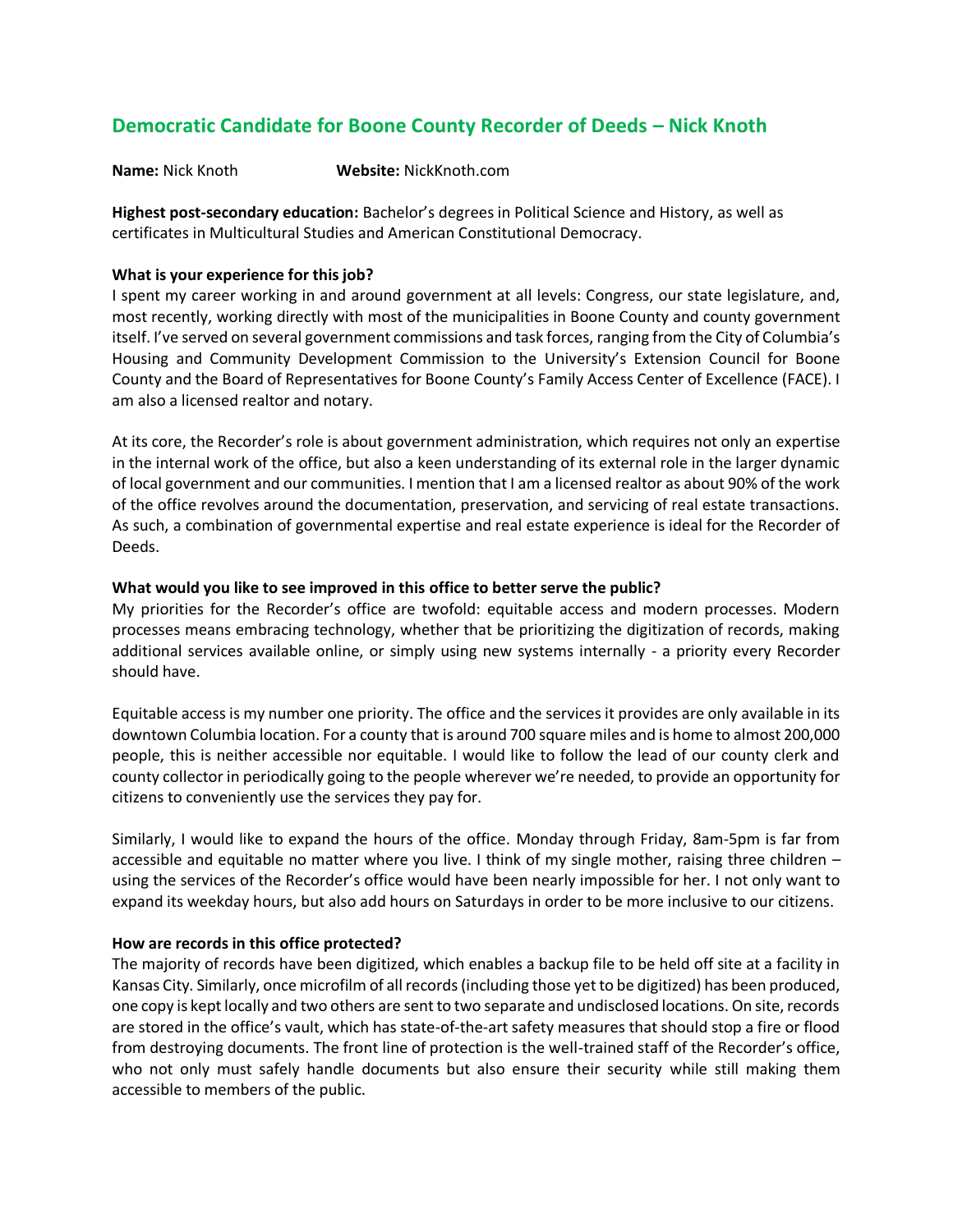## **Democratic Candidate for Boone County Recorder of Deeds – Nick Knoth**

**Name:** Nick Knoth **Website:** NickKnoth.com

**Highest post-secondary education:** Bachelor's degrees in Political Science and History, as well as certificates in Multicultural Studies and American Constitutional Democracy.

## **What is your experience for this job?**

I spent my career working in and around government at all levels: Congress, our state legislature, and, most recently, working directly with most of the municipalities in Boone County and county government itself. I've served on several government commissions and task forces, ranging from the City of Columbia's Housing and Community Development Commission to the University's Extension Council for Boone County and the Board of Representatives for Boone County's Family Access Center of Excellence (FACE). I am also a licensed realtor and notary.

At its core, the Recorder's role is about government administration, which requires not only an expertise in the internal work of the office, but also a keen understanding of its external role in the larger dynamic of local government and our communities. I mention that I am a licensed realtor as about 90% of the work of the office revolves around the documentation, preservation, and servicing of real estate transactions. As such, a combination of governmental expertise and real estate experience is ideal for the Recorder of Deeds.

## **What would you like to see improved in this office to better serve the public?**

My priorities for the Recorder's office are twofold: equitable access and modern processes. Modern processes means embracing technology, whether that be prioritizing the digitization of records, making additional services available online, or simply using new systems internally - a priority every Recorder should have.

Equitable access is my number one priority. The office and the services it provides are only available in its downtown Columbia location. For a county that is around 700 square miles and is home to almost 200,000 people, this is neither accessible nor equitable. I would like to follow the lead of our county clerk and county collector in periodically going to the people wherever we're needed, to provide an opportunity for citizens to conveniently use the services they pay for.

Similarly, I would like to expand the hours of the office. Monday through Friday, 8am-5pm is far from accessible and equitable no matter where you live. I think of my single mother, raising three children – using the services of the Recorder's office would have been nearly impossible for her. I not only want to expand its weekday hours, but also add hours on Saturdays in order to be more inclusive to our citizens.

## **How are records in this office protected?**

The majority of records have been digitized, which enables a backup file to be held off site at a facility in Kansas City. Similarly, once microfilm of all records (including those yet to be digitized) has been produced, one copy is kept locally and two others are sent to two separate and undisclosed locations. On site, records are stored in the office's vault, which has state-of-the-art safety measures that should stop a fire or flood from destroying documents. The front line of protection is the well-trained staff of the Recorder's office, who not only must safely handle documents but also ensure their security while still making them accessible to members of the public.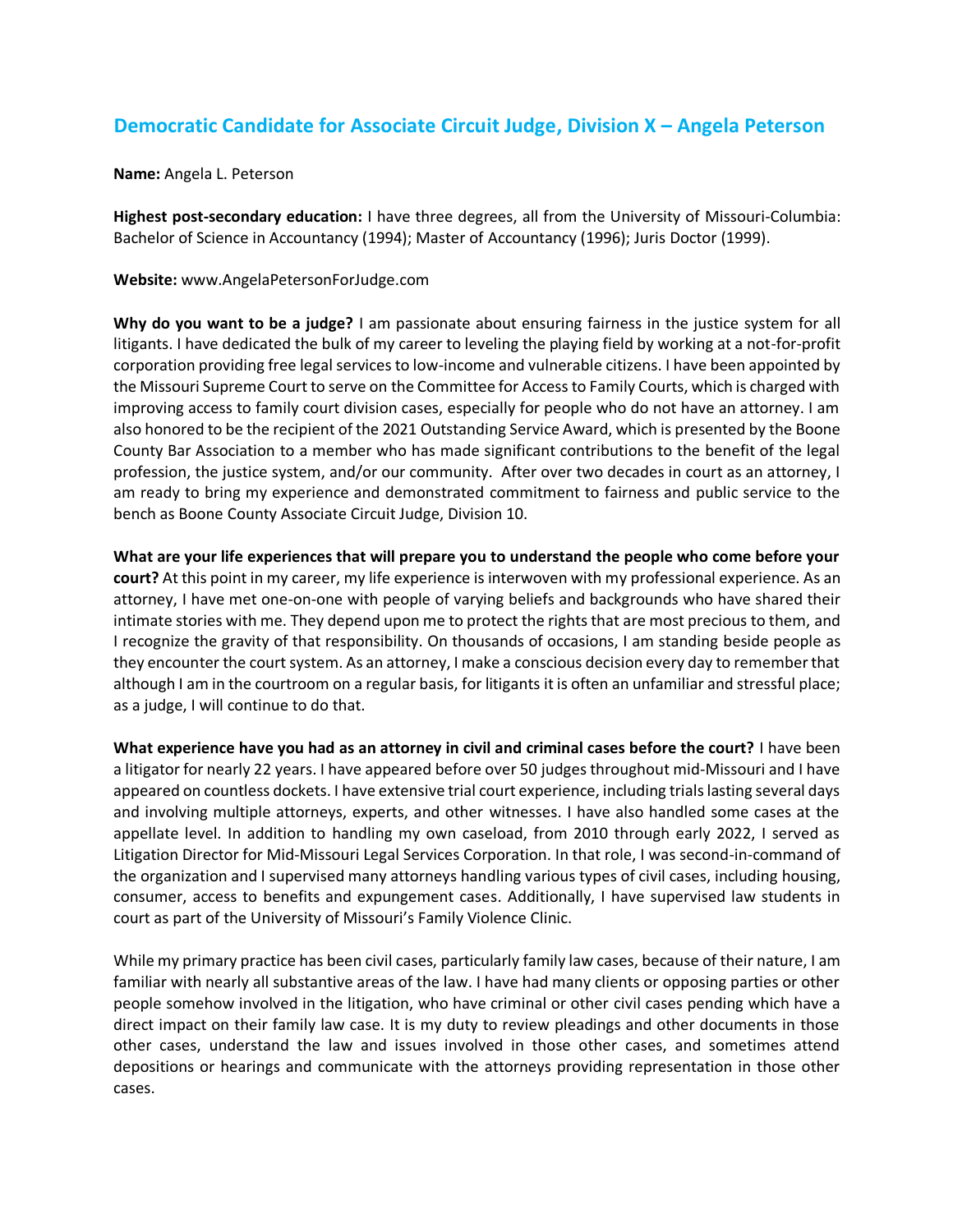# **Democratic Candidate for Associate Circuit Judge, Division X – Angela Peterson**

**Name:** Angela L. Peterson

**Highest post-secondary education:** I have three degrees, all from the University of Missouri-Columbia: Bachelor of Science in Accountancy (1994); Master of Accountancy (1996); Juris Doctor (1999).

**Website:** www.AngelaPetersonForJudge.com

**Why do you want to be a judge?** I am passionate about ensuring fairness in the justice system for all litigants. I have dedicated the bulk of my career to leveling the playing field by working at a not-for-profit corporation providing free legal services to low-income and vulnerable citizens. I have been appointed by the Missouri Supreme Court to serve on the Committee for Access to Family Courts, which is charged with improving access to family court division cases, especially for people who do not have an attorney. I am also honored to be the recipient of the 2021 Outstanding Service Award, which is presented by the Boone County Bar Association to a member who has made significant contributions to the benefit of the legal profession, the justice system, and/or our community. After over two decades in court as an attorney, I am ready to bring my experience and demonstrated commitment to fairness and public service to the bench as Boone County Associate Circuit Judge, Division 10.

**What are your life experiences that will prepare you to understand the people who come before your court?** At this point in my career, my life experience is interwoven with my professional experience. As an attorney, I have met one-on-one with people of varying beliefs and backgrounds who have shared their intimate stories with me. They depend upon me to protect the rights that are most precious to them, and I recognize the gravity of that responsibility. On thousands of occasions, I am standing beside people as they encounter the court system. As an attorney, I make a conscious decision every day to remember that although I am in the courtroom on a regular basis, for litigants it is often an unfamiliar and stressful place; as a judge, I will continue to do that.

**What experience have you had as an attorney in civil and criminal cases before the court?** I have been a litigator for nearly 22 years. I have appeared before over 50 judges throughout mid-Missouri and I have appeared on countless dockets. I have extensive trial court experience, including trials lasting several days and involving multiple attorneys, experts, and other witnesses. I have also handled some cases at the appellate level. In addition to handling my own caseload, from 2010 through early 2022, I served as Litigation Director for Mid-Missouri Legal Services Corporation. In that role, I was second-in-command of the organization and I supervised many attorneys handling various types of civil cases, including housing, consumer, access to benefits and expungement cases. Additionally, I have supervised law students in court as part of the University of Missouri's Family Violence Clinic.

While my primary practice has been civil cases, particularly family law cases, because of their nature, I am familiar with nearly all substantive areas of the law. I have had many clients or opposing parties or other people somehow involved in the litigation, who have criminal or other civil cases pending which have a direct impact on their family law case. It is my duty to review pleadings and other documents in those other cases, understand the law and issues involved in those other cases, and sometimes attend depositions or hearings and communicate with the attorneys providing representation in those other cases.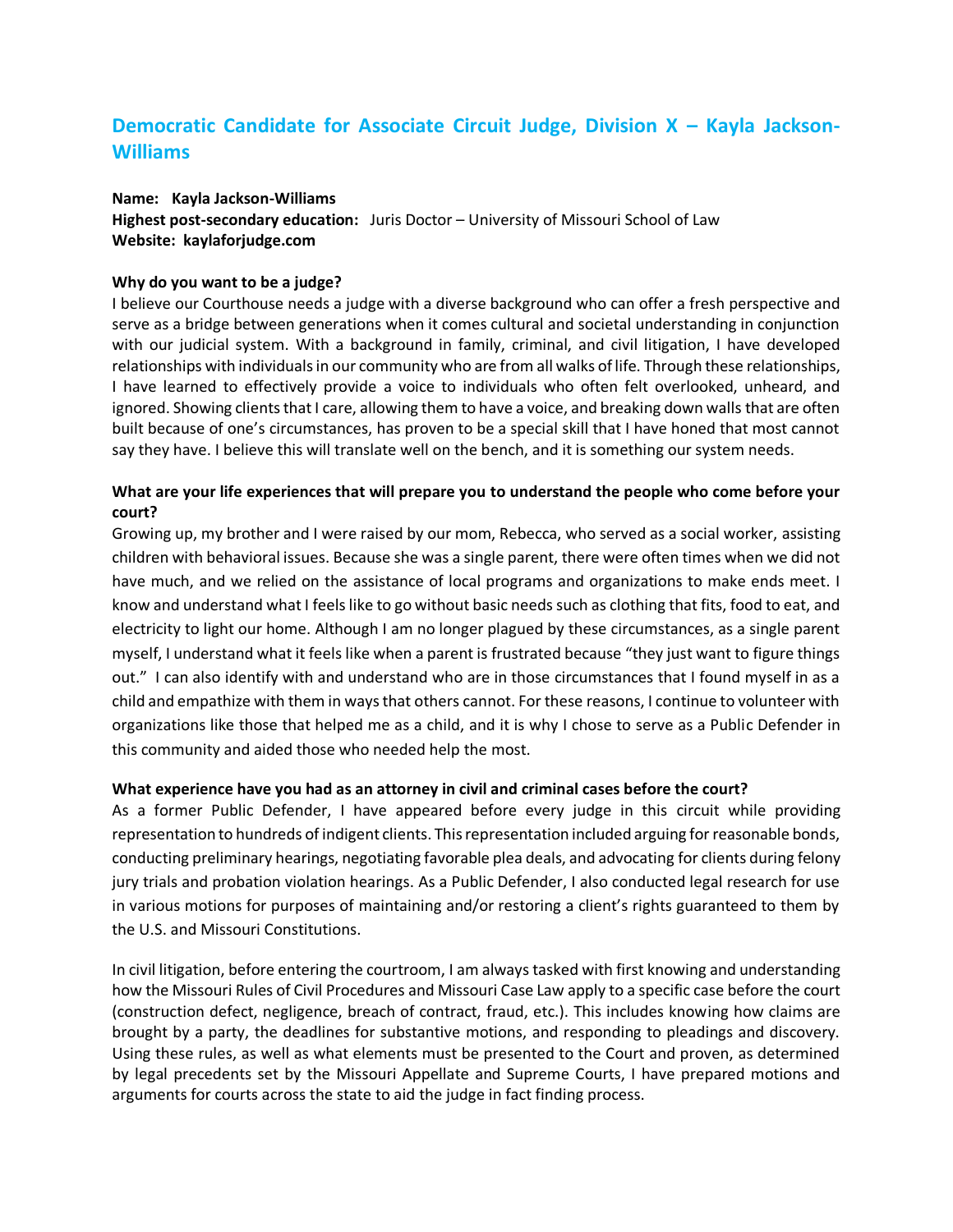# **Democratic Candidate for Associate Circuit Judge, Division X – Kayla Jackson-Williams**

#### **Name: Kayla Jackson-Williams**

**Highest post-secondary education:** Juris Doctor – University of Missouri School of Law **Website: kaylaforjudge.com**

## **Why do you want to be a judge?**

I believe our Courthouse needs a judge with a diverse background who can offer a fresh perspective and serve as a bridge between generations when it comes cultural and societal understanding in conjunction with our judicial system. With a background in family, criminal, and civil litigation, I have developed relationships with individuals in our community who are from all walks of life. Through these relationships, I have learned to effectively provide a voice to individuals who often felt overlooked, unheard, and ignored. Showing clients that I care, allowing them to have a voice, and breaking down walls that are often built because of one's circumstances, has proven to be a special skill that I have honed that most cannot say they have. I believe this will translate well on the bench, and it is something our system needs.

## **What are your life experiences that will prepare you to understand the people who come before your court?**

Growing up, my brother and I were raised by our mom, Rebecca, who served as a social worker, assisting children with behavioral issues. Because she was a single parent, there were often times when we did not have much, and we relied on the assistance of local programs and organizations to make ends meet. I know and understand what I feels like to go without basic needs such as clothing that fits, food to eat, and electricity to light our home. Although I am no longer plagued by these circumstances, as a single parent myself, I understand what it feels like when a parent is frustrated because "they just want to figure things out." I can also identify with and understand who are in those circumstances that I found myself in as a child and empathize with them in ways that others cannot. For these reasons, I continue to volunteer with organizations like those that helped me as a child, and it is why I chose to serve as a Public Defender in this community and aided those who needed help the most.

## **What experience have you had as an attorney in civil and criminal cases before the court?**

As a former Public Defender, I have appeared before every judge in this circuit while providing representation to hundreds of indigent clients. This representation included arguing for reasonable bonds, conducting preliminary hearings, negotiating favorable plea deals, and advocating for clients during felony jury trials and probation violation hearings. As a Public Defender, I also conducted legal research for use in various motions for purposes of maintaining and/or restoring a client's rights guaranteed to them by the U.S. and Missouri Constitutions.

In civil litigation, before entering the courtroom, I am always tasked with first knowing and understanding how the Missouri Rules of Civil Procedures and Missouri Case Law apply to a specific case before the court (construction defect, negligence, breach of contract, fraud, etc.). This includes knowing how claims are brought by a party, the deadlines for substantive motions, and responding to pleadings and discovery. Using these rules, as well as what elements must be presented to the Court and proven, as determined by legal precedents set by the Missouri Appellate and Supreme Courts, I have prepared motions and arguments for courts across the state to aid the judge in fact finding process.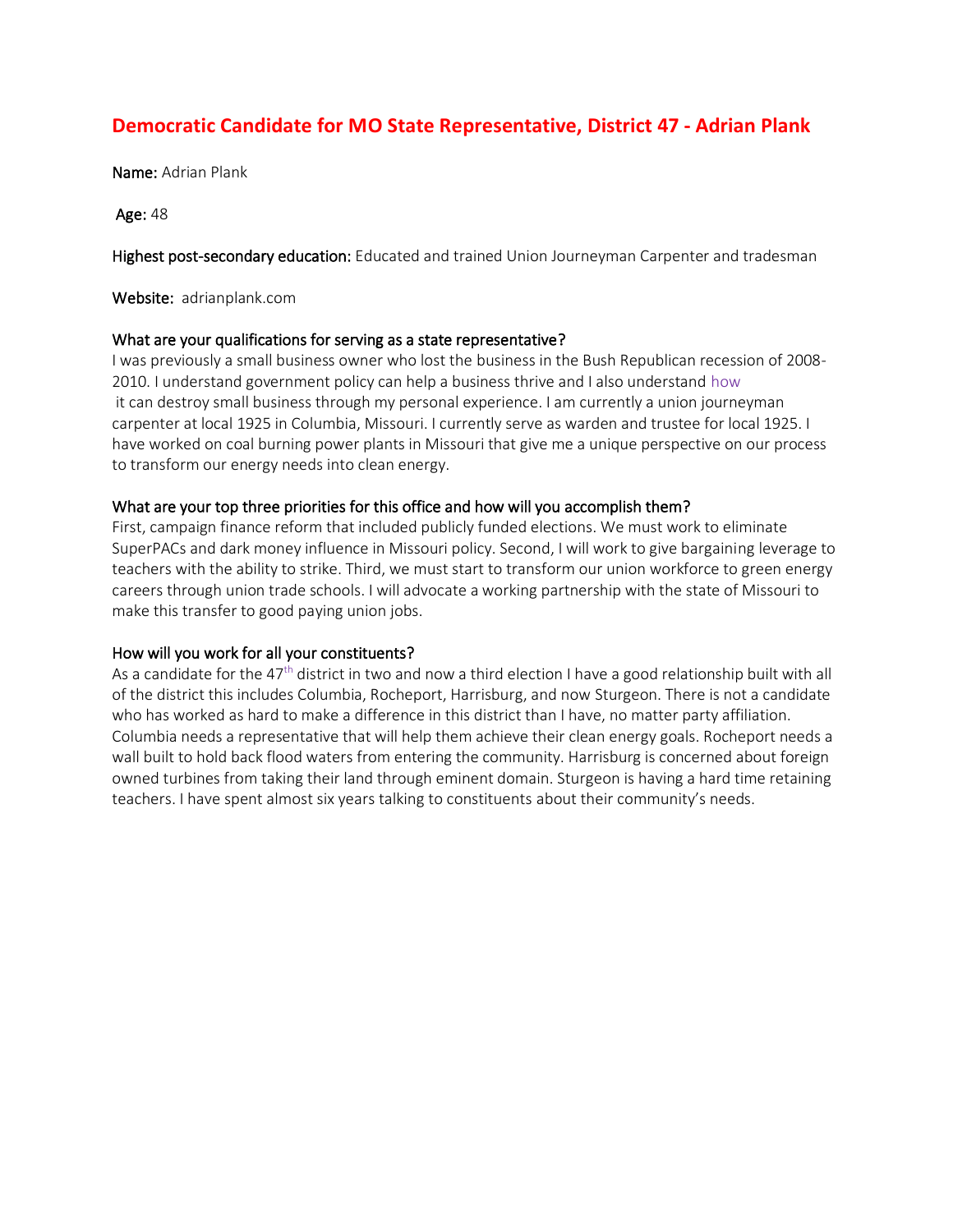# **Democratic Candidate for MO State Representative, District 47 - Adrian Plank**

Name: Adrian Plank

Age: 48

Highest post-secondary education: Educated and trained Union Journeyman Carpenter and tradesman

Website: adrianplank.com

## What are your qualifications for serving as a state representative?

I was previously a small business owner who lost the business in the Bush Republican recession of 2008- 2010. I understand government policy can help a business thrive and I also understand how it can destroy small business through my personal experience. I am currently a union journeyman carpenter at local 1925 in Columbia, Missouri. I currently serve as warden and trustee for local 1925. I have worked on coal burning power plants in Missouri that give me a unique perspective on our process to transform our energy needs into clean energy.

## What are your top three priorities for this office and how will you accomplish them?

First, campaign finance reform that included publicly funded elections. We must work to eliminate SuperPACs and dark money influence in Missouri policy. Second, I will work to give bargaining leverage to teachers with the ability to strike. Third, we must start to transform our union workforce to green energy careers through union trade schools. I will advocate a working partnership with the state of Missouri to make this transfer to good paying union jobs.

## How will you work for all your constituents?

As a candidate for the 47<sup>th</sup> district in two and now a third election I have a good relationship built with all of the district this includes Columbia, Rocheport, Harrisburg, and now Sturgeon. There is not a candidate who has worked as hard to make a difference in this district than I have, no matter party affiliation. Columbia needs a representative that will help them achieve their clean energy goals. Rocheport needs a wall built to hold back flood waters from entering the community. Harrisburg is concerned about foreign owned turbines from taking their land through eminent domain. Sturgeon is having a hard time retaining teachers. I have spent almost six years talking to constituents about their community's needs.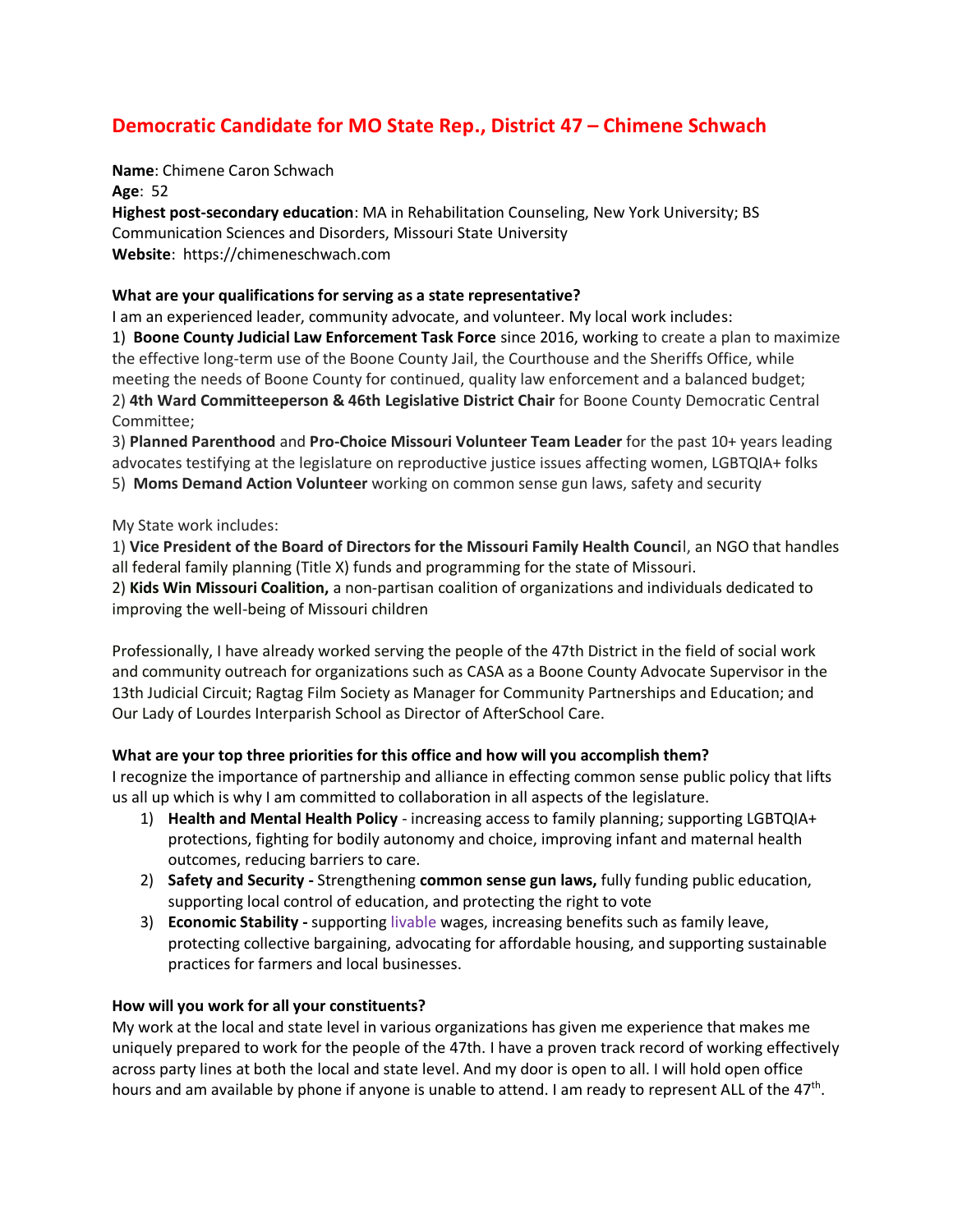# **Democratic Candidate for MO State Rep., District 47 – Chimene Schwach**

**Name**: Chimene Caron Schwach

**Age**: 52

**Highest post-secondary education**: MA in Rehabilitation Counseling, New York University; BS Communication Sciences and Disorders, Missouri State University **Website**: https://chimeneschwach.com

## **What are your qualifications for serving as a state representative?**

I am an experienced leader, community advocate, and volunteer. My local work includes: 1) **Boone County Judicial Law Enforcement Task Force** since 2016, working to create a plan to maximize the effective long-term use of the Boone County Jail, the Courthouse and the Sheriffs Office, while meeting the needs of Boone County for continued, quality law enforcement and a balanced budget; 2) **4th Ward Committeeperson & 46th Legislative District Chair** for Boone County Democratic Central Committee;

3) **Planned Parenthood** and **Pro-Choice Missouri Volunteer Team Leader** for the past 10+ years leading advocates testifying at the legislature on reproductive justice issues affecting women, LGBTQIA+ folks 5) **Moms Demand Action Volunteer** working on common sense gun laws, safety and security

## My State work includes:

1) **Vice President of the Board of Directors for the Missouri Family Health Counci**l, an NGO that handles all federal family planning (Title X) funds and programming for the state of Missouri.

2) **Kids Win Missouri Coalition,** a non-partisan coalition of organizations and individuals dedicated to improving the well-being of Missouri children

Professionally, I have already worked serving the people of the 47th District in the field of social work and community outreach for organizations such as CASA as a Boone County Advocate Supervisor in the 13th Judicial Circuit; Ragtag Film Society as Manager for Community Partnerships and Education; and Our Lady of Lourdes Interparish School as Director of AfterSchool Care.

## **What are your top three priorities for this office and how will you accomplish them?**

I recognize the importance of partnership and alliance in effecting common sense public policy that lifts us all up which is why I am committed to collaboration in all aspects of the legislature.

- 1) **Health and Mental Health Policy**  increasing access to family planning; supporting LGBTQIA+ protections, fighting for bodily autonomy and choice, improving infant and maternal health outcomes, reducing barriers to care.
- 2) **Safety and Security -** Strengthening **common sense gun laws,** fully funding public education, supporting local control of education, and protecting the right to vote
- 3) **Economic Stability -** supporting livable wages, increasing benefits such as family leave, protecting collective bargaining, advocating for affordable housing, and supporting sustainable practices for farmers and local businesses.

## **How will you work for all your constituents?**

My work at the local and state level in various organizations has given me experience that makes me uniquely prepared to work for the people of the 47th. I have a proven track record of working effectively across party lines at both the local and state level. And my door is open to all. I will hold open office hours and am available by phone if anyone is unable to attend. I am ready to represent ALL of the 47<sup>th</sup>.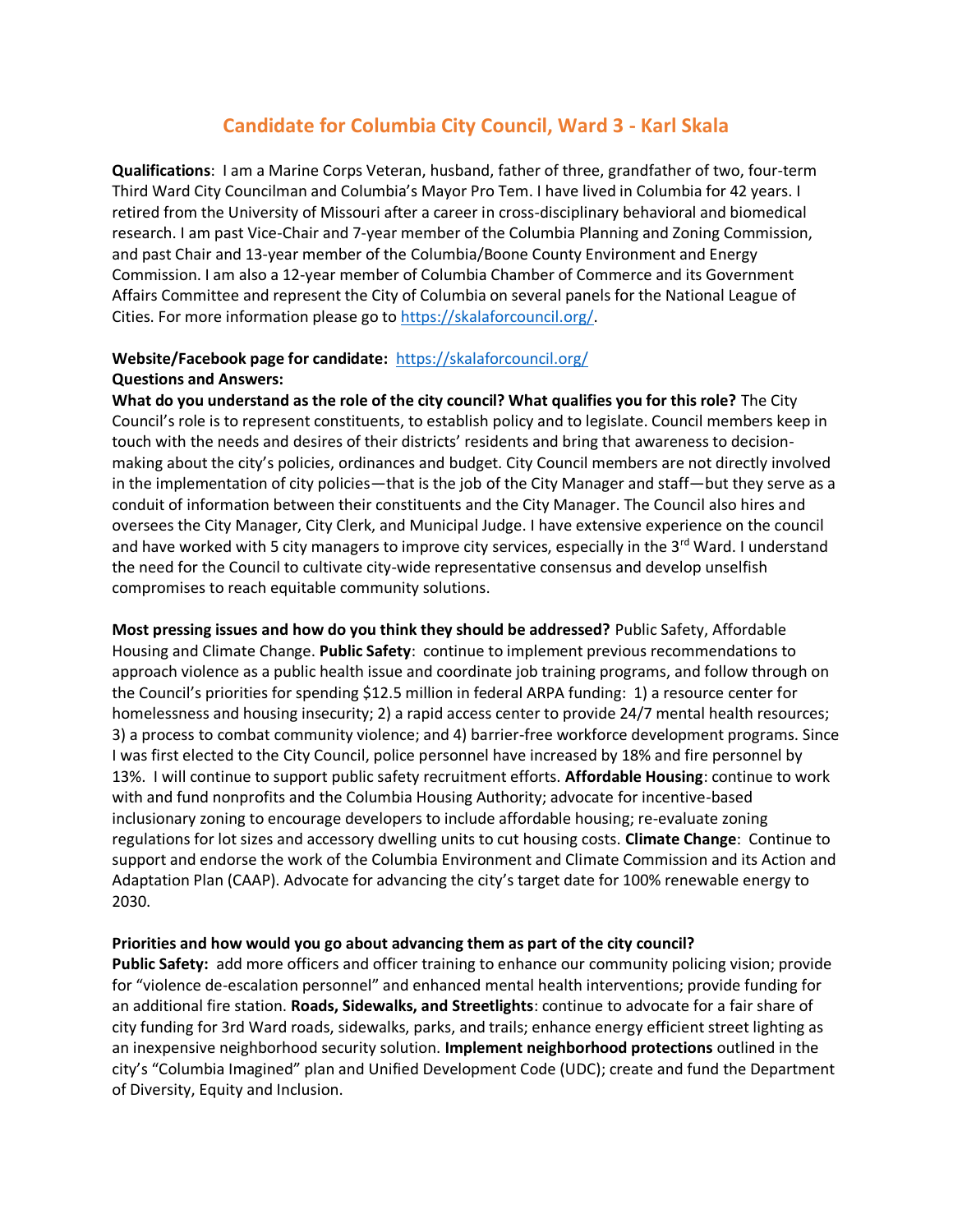## **Candidate for Columbia City Council, Ward 3 - Karl Skala**

**Qualifications**: I am a Marine Corps Veteran, husband, father of three, grandfather of two, four-term Third Ward City Councilman and Columbia's Mayor Pro Tem. I have lived in Columbia for 42 years. I retired from the University of Missouri after a career in cross-disciplinary behavioral and biomedical research. I am past Vice-Chair and 7-year member of the Columbia Planning and Zoning Commission, and past Chair and 13-year member of the Columbia/Boone County Environment and Energy Commission. I am also a 12-year member of Columbia Chamber of Commerce and its Government Affairs Committee and represent the City of Columbia on several panels for the National League of Cities. For more information please go t[o https://skalaforcouncil.org/.](https://skalaforcouncil.org/)

## **Website/Facebook page for candidate:** <https://skalaforcouncil.org/> **Questions and Answers:**

**What do you understand as the role of the city council? What qualifies you for this role?** The City Council's role is to represent constituents, to establish policy and to legislate. Council members keep in touch with the needs and desires of their districts' residents and bring that awareness to decisionmaking about the city's policies, ordinances and budget. City Council members are not directly involved in the implementation of city policies—that is the job of the City Manager and staff—but they serve as a conduit of information between their constituents and the City Manager. The Council also hires and oversees the City Manager, City Clerk, and Municipal Judge. I have extensive experience on the council and have worked with 5 city managers to improve city services, especially in the  $3^{rd}$  Ward. I understand the need for the Council to cultivate city-wide representative consensus and develop unselfish compromises to reach equitable community solutions.

**Most pressing issues and how do you think they should be addressed?** Public Safety, Affordable Housing and Climate Change. **Public Safety**: continue to implement previous recommendations to approach violence as a public health issue and coordinate job training programs, and follow through on the Council's priorities for spending \$12.5 million in federal ARPA funding: 1) a resource center for homelessness and housing insecurity; 2) a rapid access center to provide 24/7 mental health resources; 3) a process to combat community violence; and 4) barrier-free workforce development programs. Since I was first elected to the City Council, police personnel have increased by 18% and fire personnel by 13%. I will continue to support public safety recruitment efforts. **Affordable Housing**: continue to work with and fund nonprofits and the Columbia Housing Authority; advocate for incentive-based inclusionary zoning to encourage developers to include affordable housing; re-evaluate zoning regulations for lot sizes and accessory dwelling units to cut housing costs. **Climate Change**: Continue to support and endorse the work of the Columbia Environment and Climate Commission and its Action and Adaptation Plan (CAAP). Advocate for advancing the city's target date for 100% renewable energy to 2030.

## **Priorities and how would you go about advancing them as part of the city council?**

**Public Safety:** add more officers and officer training to enhance our community policing vision; provide for "violence de-escalation personnel" and enhanced mental health interventions; provide funding for an additional fire station. **Roads, Sidewalks, and Streetlights**: continue to advocate for a fair share of city funding for 3rd Ward roads, sidewalks, parks, and trails; enhance energy efficient street lighting as an inexpensive neighborhood security solution. **Implement neighborhood protections** outlined in the city's "Columbia Imagined" plan and Unified Development Code (UDC); create and fund the Department of Diversity, Equity and Inclusion.